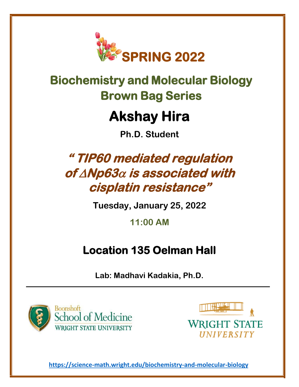

# **Biochemistry and Molecular Biology Brown Bag Series**

# **Akshay Hira**

**Ph.D. Student**

# **" TIP60 mediated regulation of Np63 is associated with cisplatin resistance"**

**Tuesday, January 25, 2022**

**11:00 AM**

### **Location 135 Oelman Hall**

**Lab: Madhavi Kadakia, Ph.D.**





**<https://science-math.wright.edu/biochemistry-and-molecular-biology>**